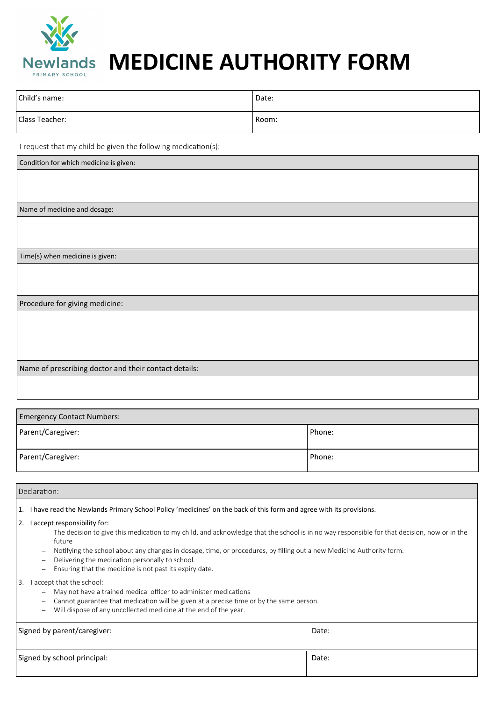

## **MEDICINE AUTHORITY FORM**

| Child's name:  | Date: |
|----------------|-------|
| Class Teacher: | Room: |

I request that my child be given the following medication(s):

| Condition for which medicine is given:                |
|-------------------------------------------------------|
|                                                       |
|                                                       |
|                                                       |
| Name of medicine and dosage:                          |
|                                                       |
|                                                       |
|                                                       |
| Time(s) when medicine is given:                       |
|                                                       |
|                                                       |
|                                                       |
| Procedure for giving medicine:                        |
|                                                       |
|                                                       |
|                                                       |
|                                                       |
|                                                       |
| Name of prescribing doctor and their contact details: |
|                                                       |
|                                                       |

| <b>Emergency Contact Numbers:</b> |        |  |
|-----------------------------------|--------|--|
| Parent/Caregiver:                 | Phone: |  |
| Parent/Caregiver:                 | Phone: |  |

Declaration:

1. I have read the Newlands Primary School Policy 'medicines' on the back of this form and agree with its provisions.

- 2. I accept responsibility for:
	- The decision to give this medication to my child, and acknowledge that the school is in no way responsible for that decision, now or in the future
	- Notifying the school about any changes in dosage, time, or procedures, by filling out a new Medicine Authority form.
	- Delivering the medication personally to school.
	- Ensuring that the medicine is not past its expiry date.

3. I accept that the school:

- May not have a trained medical officer to administer medications
- Cannot guarantee that medication will be given at a precise time or by the same person.
- Will dispose of any uncollected medicine at the end of the year.

| Signed by parent/caregiver: | Date: |
|-----------------------------|-------|
| Signed by school principal: | Date: |